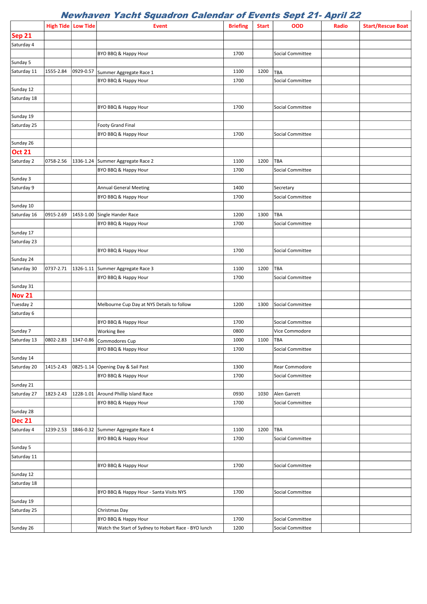## Newhaven Yacht Squadron Calendar of Events Sept 21- April 22

 $\overline{\phantom{a}}$ 

|               | <b>High Tide Low Tide</b> |           | <b>Event</b>                                         | <b>Briefing</b> | <b>Start</b> | OOD                     | Radio | <b>Start/Rescue Boat</b> |
|---------------|---------------------------|-----------|------------------------------------------------------|-----------------|--------------|-------------------------|-------|--------------------------|
| <b>Sep 21</b> |                           |           |                                                      |                 |              |                         |       |                          |
| Saturday 4    |                           |           |                                                      |                 |              |                         |       |                          |
|               |                           |           | BYO BBQ & Happy Hour                                 | 1700            |              | Social Committee        |       |                          |
| Sunday 5      |                           |           |                                                      |                 |              |                         |       |                          |
| Saturday 11   | 1555-2.84                 | 0929-0.57 | Summer Aggregate Race 1                              | 1100            | 1200         | TBA                     |       |                          |
|               |                           |           | BYO BBQ & Happy Hour                                 | 1700            |              | Social Committee        |       |                          |
| Sunday 12     |                           |           |                                                      |                 |              |                         |       |                          |
| Saturday 18   |                           |           |                                                      |                 |              |                         |       |                          |
|               |                           |           | BYO BBQ & Happy Hour                                 | 1700            |              | Social Committee        |       |                          |
| Sunday 19     |                           |           |                                                      |                 |              |                         |       |                          |
| Saturday 25   |                           |           | <b>Footy Grand Final</b>                             |                 |              |                         |       |                          |
|               |                           |           | BYO BBQ & Happy Hour                                 | 1700            |              | Social Committee        |       |                          |
| Sunday 26     |                           |           |                                                      |                 |              |                         |       |                          |
| <b>Oct 21</b> |                           |           |                                                      |                 |              |                         |       |                          |
| Saturday 2    | 0758-2.56                 | 1336-1.24 | Summer Aggregate Race 2                              | 1100            | 1200         | TBA                     |       |                          |
|               |                           |           | BYO BBQ & Happy Hour                                 | 1700            |              | <b>Social Committee</b> |       |                          |
| Sunday 3      |                           |           |                                                      |                 |              |                         |       |                          |
| Saturday 9    |                           |           | <b>Annual General Meeting</b>                        | 1400            |              | Secretary               |       |                          |
|               |                           |           | BYO BBQ & Happy Hour                                 | 1700            |              | Social Committee        |       |                          |
| Sunday 10     |                           |           |                                                      |                 |              |                         |       |                          |
| Saturday 16   | 0915-2.69                 | 1453-1.00 | Single Hander Race                                   | 1200            | 1300         | TBA                     |       |                          |
|               |                           |           | BYO BBQ & Happy Hour                                 | 1700            |              | Social Committee        |       |                          |
| Sunday 17     |                           |           |                                                      |                 |              |                         |       |                          |
| Saturday 23   |                           |           |                                                      |                 |              |                         |       |                          |
|               |                           |           | BYO BBQ & Happy Hour                                 | 1700            |              | Social Committee        |       |                          |
| Sunday 24     |                           |           |                                                      |                 |              |                         |       |                          |
| Saturday 30   | 0737-2.71                 | 1326-1.11 | Summer Aggregate Race 3                              | 1100            | 1200         | TBA                     |       |                          |
|               |                           |           | BYO BBQ & Happy Hour                                 | 1700            |              | Social Committee        |       |                          |
| Sunday 31     |                           |           |                                                      |                 |              |                         |       |                          |
| <b>Nov 21</b> |                           |           |                                                      |                 |              |                         |       |                          |
| Tuesday 2     |                           |           | Melbourne Cup Day at NYS Details to follow           | 1200            | 1300         | Social Committee        |       |                          |
| Saturday 6    |                           |           |                                                      |                 |              |                         |       |                          |
|               |                           |           | BYO BBQ & Happy Hour                                 | 1700            |              | Social Committee        |       |                          |
| Sunday 7      |                           |           | <b>Working Bee</b>                                   | 0800            |              | Vice Commodore          |       |                          |
| Saturday 13   |                           |           | 0802-2.83 1347-0.86 Commodores Cup                   | 1000            | 1100         | TBA                     |       |                          |
|               |                           |           | BYO BBQ & Happy Hour                                 | 1700            |              | Social Committee        |       |                          |
| Sunday 14     |                           |           |                                                      |                 |              |                         |       |                          |
| Saturday 20   | 1415-2.43                 | 0825-1.14 | Opening Day & Sail Past                              | 1300            |              | Rear Commodore          |       |                          |
|               |                           |           | BYO BBQ & Happy Hour                                 | 1700            |              | Social Committee        |       |                          |
| Sunday 21     |                           |           |                                                      |                 |              |                         |       |                          |
| Saturday 27   | 1823-2.43                 | 1228-1.01 | Around Phillip Island Race                           | 0930            | 1030         | Alen Garrett            |       |                          |
|               |                           |           | BYO BBQ & Happy Hour                                 | 1700            |              | Social Committee        |       |                          |
| Sunday 28     |                           |           |                                                      |                 |              |                         |       |                          |
| <b>Dec 21</b> |                           |           |                                                      |                 |              |                         |       |                          |
| Saturday 4    | 1239-2.53                 |           | 1846-0.32 Summer Aggregate Race 4                    | 1100            | 1200         | TBA                     |       |                          |
|               |                           |           | BYO BBQ & Happy Hour                                 | 1700            |              | Social Committee        |       |                          |
| Sunday 5      |                           |           |                                                      |                 |              |                         |       |                          |
| Saturday 11   |                           |           |                                                      |                 |              |                         |       |                          |
|               |                           |           | BYO BBQ & Happy Hour                                 | 1700            |              | Social Committee        |       |                          |
| Sunday 12     |                           |           |                                                      |                 |              |                         |       |                          |
| Saturday 18   |                           |           |                                                      |                 |              |                         |       |                          |
|               |                           |           | BYO BBQ & Happy Hour - Santa Visits NYS              | 1700            |              | Social Committee        |       |                          |
| Sunday 19     |                           |           |                                                      |                 |              |                         |       |                          |
| Saturday 25   |                           |           | Christmas Day                                        |                 |              |                         |       |                          |
|               |                           |           | BYO BBQ & Happy Hour                                 | 1700            |              | <b>Social Committee</b> |       |                          |
| Sunday 26     |                           |           | Watch the Start of Sydney to Hobart Race - BYO lunch | 1200            |              | Social Committee        |       |                          |